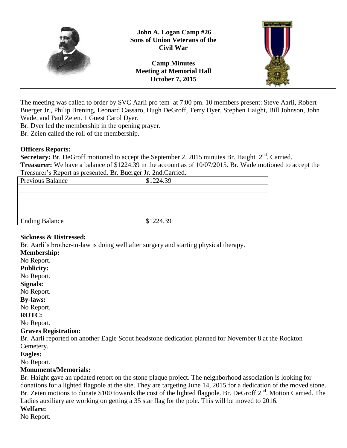

**John A. Logan Camp #26 Sons of Union Veterans of the Civil War**

**Camp Minutes Meeting at Memorial Hall October 7, 2015**



The meeting was called to order by SVC Aarli pro tem at 7:00 pm. 10 members present: Steve Aarli, Robert Buerger Jr., Philip Brening, Leonard Cassaro, Hugh DeGroff, Terry Dyer, Stephen Haight, Bill Johnson, John Wade, and Paul Zeien. 1 Guest Carol Dyer.

Br. Dyer led the membership in the opening prayer.

Br. Zeien called the roll of the membership.

# **Officers Reports:**

Secretary: Br. DeGroff motioned to accept the September 2, 2015 minutes Br. Haight 2<sup>nd</sup>. Carried. **Treasurer:** We have a balance of \$1224.39 in the account as of 10/07/2015. Br. Wade motioned to accept the Treasurer's Report as presented. Br. Buerger Jr. 2nd.Carried.

| -- 0-                 |           |
|-----------------------|-----------|
| Previous Balance      | \$1224.39 |
|                       |           |
|                       |           |
|                       |           |
|                       |           |
| <b>Ending Balance</b> | \$1224.39 |

# **Sickness & Distressed:**

Br. Aarli's brother-in-law is doing well after surgery and starting physical therapy.

# **Membership:**

No Report.

**Publicity:**

No Report.

**Signals:**

No Report.

# **By-laws:**

No Report.

# **ROTC:**

No Report.

# **Graves Registration:**

Br. Aarli reported on another Eagle Scout headstone dedication planned for November 8 at the Rockton Cemetery.

**Eagles:**

No Report.

# **Monuments/Memorials:**

Br. Haight gave an updated report on the stone plaque project. The neighborhood association is looking for donations for a lighted flagpole at the site. They are targeting June 14, 2015 for a dedication of the moved stone. Br. Zeien motions to donate \$100 towards the cost of the lighted flagpole. Br. DeGroff  $2<sup>nd</sup>$ . Motion Carried. The Ladies auxiliary are working on getting a 35 star flag for the pole. This will be moved to 2016.

# **Welfare:**

No Report.